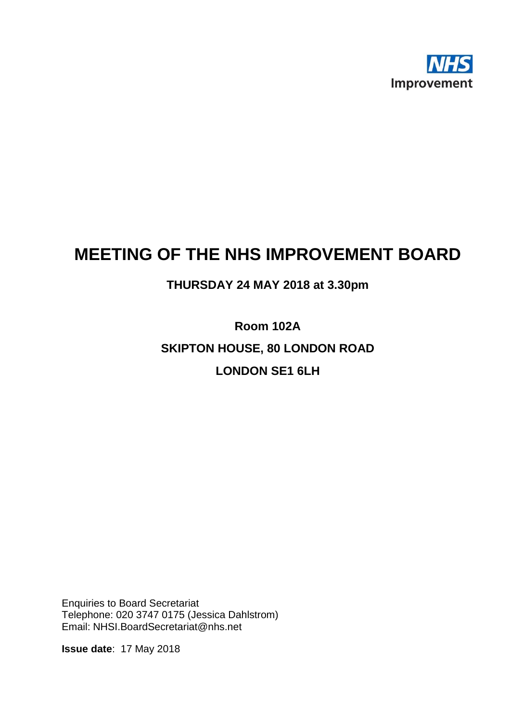

## **MEETING OF THE NHS IMPROVEMENT BOARD**

## **THURSDAY 24 MAY 2018 at 3.30pm**

**Room 102A SKIPTON HOUSE, 80 LONDON ROAD LONDON SE1 6LH**

Enquiries to Board Secretariat Telephone: 020 3747 0175 (Jessica Dahlstrom) Email: NHSI.BoardSecretariat@nhs.net

**Issue date**: 17 May 2018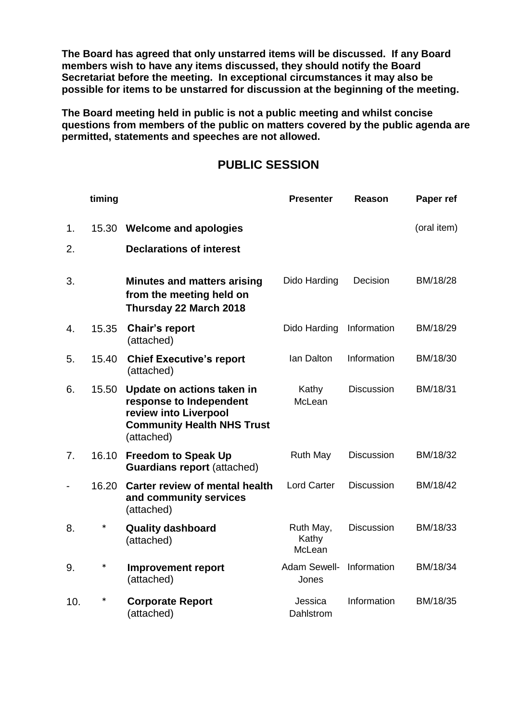**The Board has agreed that only unstarred items will be discussed. If any Board members wish to have any items discussed, they should notify the Board Secretariat before the meeting. In exceptional circumstances it may also be possible for items to be unstarred for discussion at the beginning of the meeting.**

**The Board meeting held in public is not a public meeting and whilst concise questions from members of the public on matters covered by the public agenda are permitted, statements and speeches are not allowed.**

## **PUBLIC SESSION**

|                              | timing |                                                                                                                                   | <b>Presenter</b>             | <b>Reason</b>     | Paper ref   |
|------------------------------|--------|-----------------------------------------------------------------------------------------------------------------------------------|------------------------------|-------------------|-------------|
| 1.                           | 15.30  | <b>Welcome and apologies</b>                                                                                                      |                              |                   | (oral item) |
| 2.                           |        | <b>Declarations of interest</b>                                                                                                   |                              |                   |             |
| 3.                           |        | <b>Minutes and matters arising</b><br>from the meeting held on<br>Thursday 22 March 2018                                          | Dido Harding                 | Decision          | BM/18/28    |
| 4.                           | 15.35  | <b>Chair's report</b><br>(attached)                                                                                               | Dido Harding                 | Information       | BM/18/29    |
| 5.                           | 15.40  | <b>Chief Executive's report</b><br>(attached)                                                                                     | Ian Dalton                   | Information       | BM/18/30    |
| 6.                           | 15.50  | Update on actions taken in<br>response to Independent<br>review into Liverpool<br><b>Community Health NHS Trust</b><br>(attached) | Kathy<br>McLean              | <b>Discussion</b> | BM/18/31    |
| 7.                           | 16.10  | <b>Freedom to Speak Up</b><br><b>Guardians report (attached)</b>                                                                  | <b>Ruth May</b>              | <b>Discussion</b> | BM/18/32    |
| $\qquad \qquad \blacksquare$ | 16.20  | <b>Carter review of mental health</b><br>and community services<br>(attached)                                                     | <b>Lord Carter</b>           | <b>Discussion</b> | BM/18/42    |
| 8.                           | $\ast$ | <b>Quality dashboard</b><br>(attached)                                                                                            | Ruth May,<br>Kathy<br>McLean | <b>Discussion</b> | BM/18/33    |
| 9.                           | $\ast$ | <b>Improvement report</b><br>(attached)                                                                                           | Adam Sewell-<br>Jones        | Information       | BM/18/34    |
| 10.                          | $\ast$ | <b>Corporate Report</b><br>(attached)                                                                                             | Jessica<br>Dahlstrom         | Information       | BM/18/35    |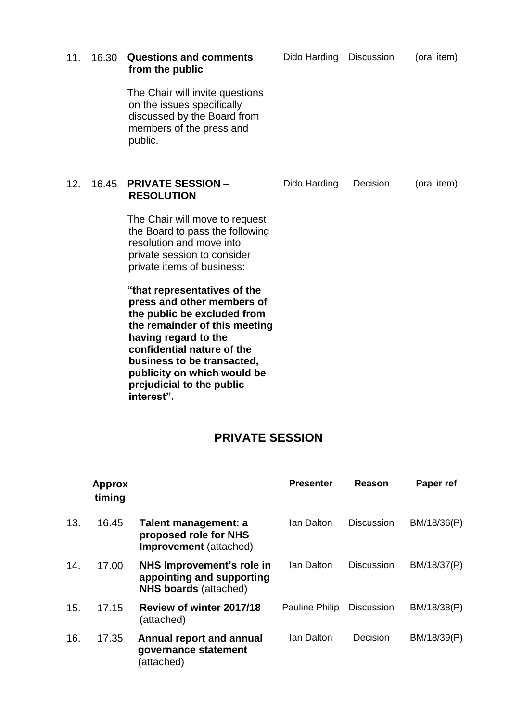| 11. | 16.30 | <b>Questions and comments</b><br>from the public                                                                                                                                                                                                                                         | Dido Harding Discussion |          | (oral item) |
|-----|-------|------------------------------------------------------------------------------------------------------------------------------------------------------------------------------------------------------------------------------------------------------------------------------------------|-------------------------|----------|-------------|
|     |       | The Chair will invite questions<br>on the issues specifically<br>discussed by the Board from<br>members of the press and<br>public.                                                                                                                                                      |                         |          |             |
| 12. | 16.45 | <b>PRIVATE SESSION -</b><br><b>RESOLUTION</b>                                                                                                                                                                                                                                            | Dido Harding            | Decision | (oral item) |
|     |       | The Chair will move to request<br>the Board to pass the following<br>resolution and move into<br>private session to consider<br>private items of business:                                                                                                                               |                         |          |             |
|     |       | "that representatives of the<br>press and other members of<br>the public be excluded from<br>the remainder of this meeting<br>having regard to the<br>confidential nature of the<br>business to be transacted,<br>publicity on which would be<br>prejudicial to the public<br>interest". |                         |          |             |

## **PRIVATE SESSION**

|     | <b>Approx</b><br>timing |                                                                                        | <b>Presenter</b> | Reason            | Paper ref   |
|-----|-------------------------|----------------------------------------------------------------------------------------|------------------|-------------------|-------------|
| 13. | 16.45                   | Talent management: a<br>proposed role for NHS<br>Improvement (attached)                | Ian Dalton       | <b>Discussion</b> | BM/18/36(P) |
| 14. | 17.00                   | NHS Improvement's role in<br>appointing and supporting<br><b>NHS boards (attached)</b> | Ian Dalton       | <b>Discussion</b> | BM/18/37(P) |
| 15. | 17.15                   | Review of winter 2017/18<br>(attached)                                                 | Pauline Philip   | <b>Discussion</b> | BM/18/38(P) |
| 16. | 17.35                   | <b>Annual report and annual</b><br>governance statement<br>(attached)                  | Ian Dalton       | Decision          | BM/18/39(P) |